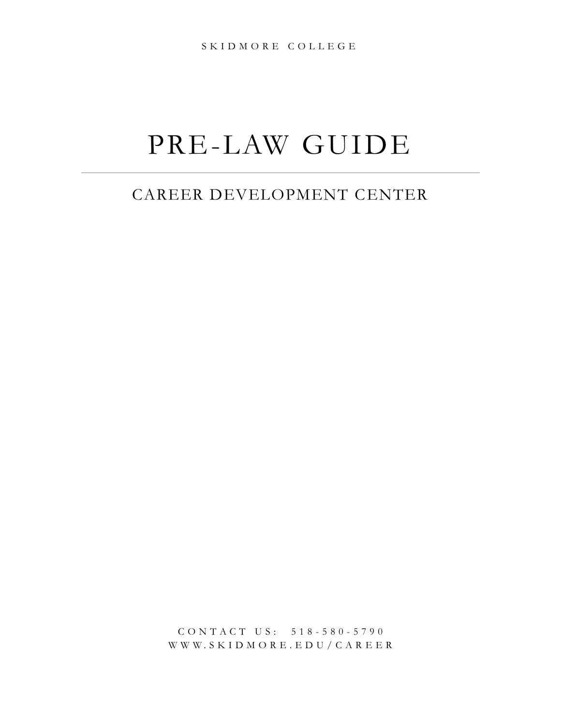# PRE-LAW GUIDE

# CAREER DEVELOPMENT CENTER

C O N T A C T U S : 5 1 8 - 580 - 5790 W W W . S K I D M O R E . E D U / C A R EER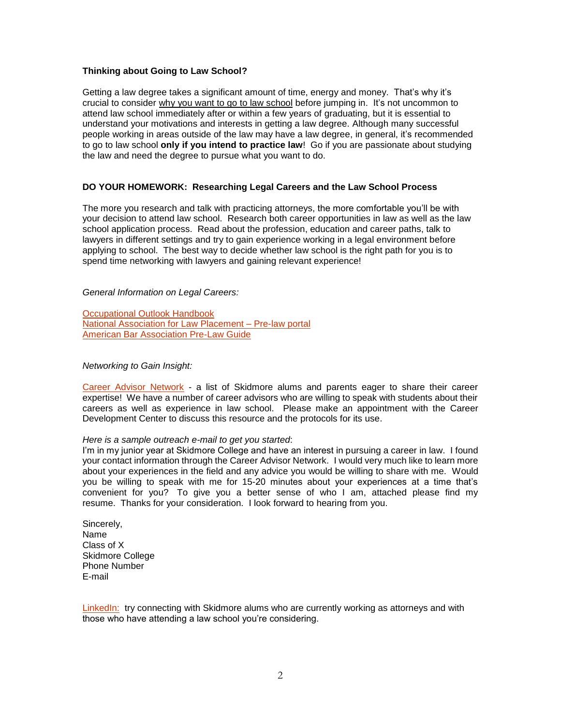#### **Thinking about Going to Law School?**

Getting a law degree takes a significant amount of time, energy and money. That's why it's crucial to consider why you want to go to law school before jumping in. It's not uncommon to attend law school immediately after or within a few years of graduating, but it is essential to understand your motivations and interests in getting a law degree. Although many successful people working in areas outside of the law may have a law degree, in general, it's recommended to go to law school **only if you intend to practice law**! Go if you are passionate about studying the law and need the degree to pursue what you want to do.

#### **DO YOUR HOMEWORK: Researching Legal Careers and the Law School Process**

The more you research and talk with practicing attorneys, the more comfortable you'll be with your decision to attend law school. Research both career opportunities in law as well as the law school application process. Read about the profession, education and career paths, talk to lawyers in different settings and try to gain experience working in a legal environment before applying to school. The best way to decide whether law school is the right path for you is to spend time networking with lawyers and gaining relevant experience!

#### *General Information on Legal Careers:*

[Occupational Outlook Handbook](https://www.bls.gov/ooh/legal/home.htm) [National Association for Law Placement –](https://www.nalp.org/prelaw_portal) Pre-law portal [American Bar Association Pre-Law Guide](https://www.americanbar.org/groups/legal_education/resources/pre_law/)

#### *Networking to Gain Insight:*

[Career Advisor Network](https://www.skidmore.edu/career/careeradvisornetwork/index.php) - a list of Skidmore alums and parents eager to share their career expertise! We have a number of career advisors who are willing to speak with students about their careers as well as experience in law school. Please make an appointment with the Career Development Center to discuss this resource and the protocols for its use.

#### *Here is a sample outreach e-mail to get you started*:

I'm in my junior year at Skidmore College and have an interest in pursuing a career in law. I found your contact information through the Career Advisor Network. I would very much like to learn more about your experiences in the field and any advice you would be willing to share with me. Would you be willing to speak with me for 15-20 minutes about your experiences at a time that's convenient for you? To give you a better sense of who I am, attached please find my resume. Thanks for your consideration. I look forward to hearing from you.

Sincerely, Name Class of X Skidmore College Phone Number E-mail

[LinkedIn:](http://www.linkedin.com/) try connecting with Skidmore alums who are currently working as attorneys and with those who have attending a law school you're considering.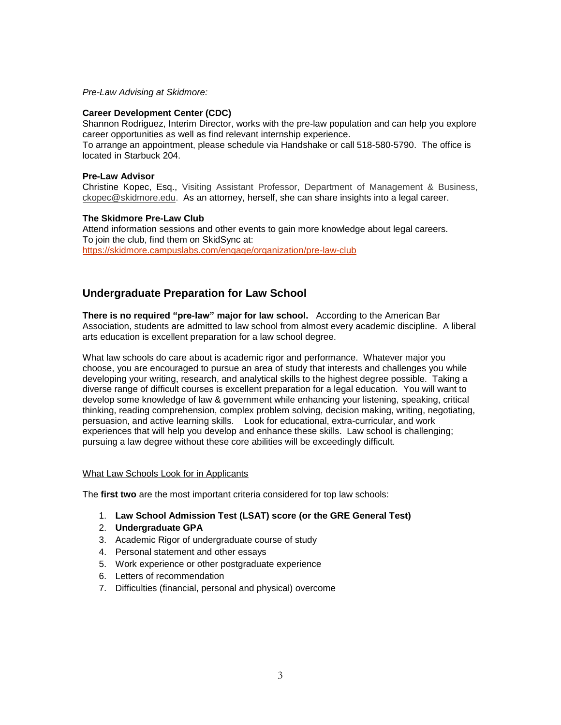*Pre-Law Advising at Skidmore:*

#### **Career Development Center (CDC)**

Shannon Rodriguez, Interim Director, works with the pre-law population and can help you explore career opportunities as well as find relevant internship experience. To arrange an appointment, please schedule via Handshake or call 518-580-5790. The office is

located in Starbuck 204.

#### **Pre-Law Advisor**

Christine Kopec, Esq., Visiting Assistant Professor, Department of Management & Business, [ckopec@skidmore.edu.](mailto:ckopec@skidmore.edu) As an attorney, herself, she can share insights into a legal career.

#### **The Skidmore Pre-Law Club**

Attend information sessions and other events to gain more knowledge about legal careers. To join the club, find them on SkidSync at: <https://skidmore.campuslabs.com/engage/organization/pre-law-club>

# **Undergraduate Preparation for Law School**

**There is no required "pre-law" major for law school.** According to the American Bar Association, students are admitted to law school from almost every academic discipline. A liberal arts education is excellent preparation for a law school degree.

What law schools do care about is academic rigor and performance. Whatever major you choose, you are encouraged to pursue an area of study that interests and challenges you while developing your writing, research, and analytical skills to the highest degree possible. Taking a diverse range of difficult courses is excellent preparation for a legal education. You will want to develop some knowledge of law & government while enhancing your listening, speaking, critical thinking, reading comprehension, complex problem solving, decision making, writing, negotiating, persuasion, and active learning skills. Look for educational, extra-curricular, and work experiences that will help you develop and enhance these skills. Law school is challenging; pursuing a law degree without these core abilities will be exceedingly difficult.

#### What Law Schools Look for in Applicants

The **first two** are the most important criteria considered for top law schools:

- 1. **Law School Admission Test (LSAT) score (or the GRE General Test)**
- 2. **Undergraduate GPA**
- 3. Academic Rigor of undergraduate course of study
- 4. Personal statement and other essays
- 5. Work experience or other postgraduate experience
- 6. Letters of recommendation
- 7. Difficulties (financial, personal and physical) overcome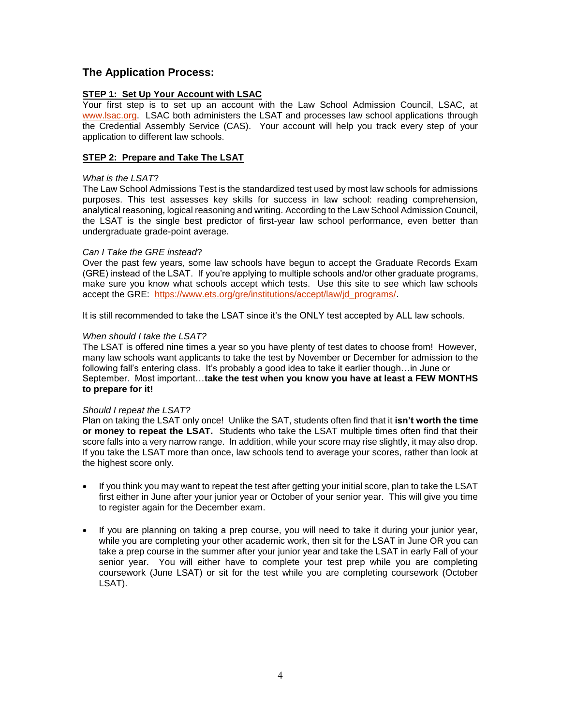# **The Application Process:**

#### **STEP 1: Set Up Your Account with LSAC**

Your first step is to set up an account with the Law School Admission Council, LSAC, at [www.lsac.org.](http://www.lsac.org/) LSAC both administers the LSAT and processes law school applications through the Credential Assembly Service (CAS). Your account will help you track every step of your application to different law schools.

#### **STEP 2: Prepare and Take The LSAT**

#### *What is the LSAT*?

The Law School Admissions Test is the standardized test used by most law schools for admissions purposes. This test assesses key skills for success in law school: reading comprehension, analytical reasoning, logical reasoning and writing. According to the Law School Admission Council, the LSAT is the single best predictor of first-year law school performance, even better than undergraduate grade-point average.

#### *Can I Take the GRE instead*?

Over the past few years, some law schools have begun to accept the Graduate Records Exam (GRE) instead of the LSAT. If you're applying to multiple schools and/or other graduate programs, make sure you know what schools accept which tests. Use this site to see which law schools accept the GRE: [https://www.ets.org/gre/institutions/accept/law/jd\\_programs/.](https://www.ets.org/gre/institutions/accept/law/jd_programs/)

It is still recommended to take the LSAT since it's the ONLY test accepted by ALL law schools.

#### *When should I take the LSAT?*

The LSAT is offered nine times a year so you have plenty of test dates to choose from! However, many law schools want applicants to take the test by November or December for admission to the following fall's entering class. It's probably a good idea to take it earlier though…in June or September. Most important…**take the test when you know you have at least a FEW MONTHS to prepare for it!** 

#### *Should I repeat the LSAT?*

Plan on taking the LSAT only once! Unlike the SAT, students often find that it **isn't worth the time or money to repeat the LSAT.** Students who take the LSAT multiple times often find that their score falls into a very narrow range. In addition, while your score may rise slightly, it may also drop. If you take the LSAT more than once, law schools tend to average your scores, rather than look at the highest score only.

- If you think you may want to repeat the test after getting your initial score, plan to take the LSAT first either in June after your junior year or October of your senior year. This will give you time to register again for the December exam.
- If you are planning on taking a prep course, you will need to take it during your junior year, while you are completing your other academic work, then sit for the LSAT in June OR you can take a prep course in the summer after your junior year and take the LSAT in early Fall of your senior year. You will either have to complete your test prep while you are completing coursework (June LSAT) or sit for the test while you are completing coursework (October LSAT).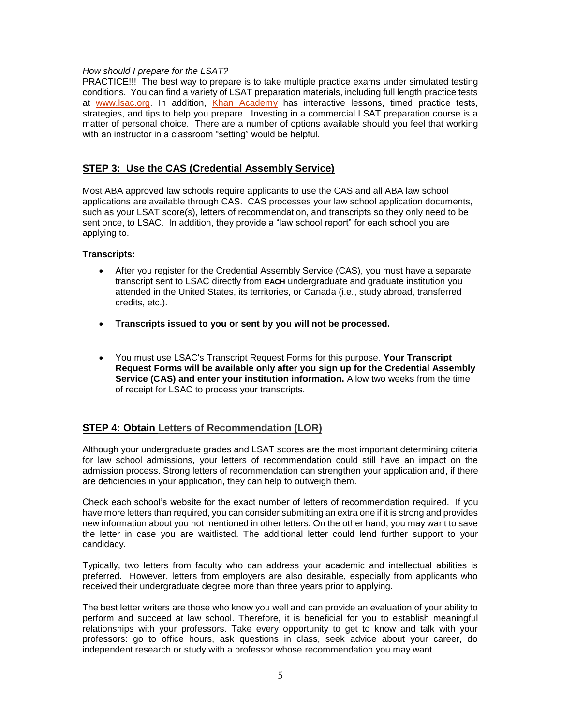#### *How should I prepare for the LSAT?*

PRACTICE!!! The best way to prepare is to take multiple practice exams under simulated testing conditions. You can find a variety of LSAT preparation materials, including full length practice tests at [www.lsac.org.](file:///C:/Users/Gale/Downloads/www.lsac.org) In addition, [Khan Academy](https://www.khanacademy.org/prep/lsat) has interactive lessons, timed practice tests, strategies, and tips to help you prepare. Investing in a commercial LSAT preparation course is a matter of personal choice. There are a number of options available should you feel that working with an instructor in a classroom "setting" would be helpful.

# **STEP 3: Use the CAS (Credential Assembly Service)**

Most ABA approved law schools require applicants to use the CAS and all ABA law school applications are available through CAS. CAS processes your law school application documents, such as your LSAT score(s), letters of recommendation, and transcripts so they only need to be sent once, to LSAC. In addition, they provide a "law school report" for each school you are applying to.

#### **Transcripts:**

- After you register for the Credential Assembly Service (CAS), you must have a separate transcript sent to LSAC directly from **EACH** undergraduate and graduate institution you attended in the United States, its territories, or Canada (i.e., study abroad, transferred credits, etc.).
- **Transcripts issued to you or sent by you will not be processed.**
- You must use LSAC's Transcript Request Forms for this purpose. **Your Transcript Request Forms will be available only after you sign up for the Credential Assembly Service (CAS) and enter your institution information.** Allow two weeks from the time of receipt for LSAC to process your transcripts.

# **STEP 4: Obtain Letters of Recommendation (LOR)**

Although your undergraduate grades and LSAT scores are the most important determining criteria for law school admissions, your letters of recommendation could still have an impact on the admission process. Strong letters of recommendation can strengthen your application and, if there are deficiencies in your application, they can help to outweigh them.

Check each school's website for the exact number of letters of recommendation required. If you have more letters than required, you can consider submitting an extra one if it is strong and provides new information about you not mentioned in other letters. On the other hand, you may want to save the letter in case you are waitlisted. The additional letter could lend further support to your candidacy.

Typically, two letters from faculty who can address your academic and intellectual abilities is preferred. However, letters from employers are also desirable, especially from applicants who received their undergraduate degree more than three years prior to applying.

The best letter writers are those who know you well and can provide an evaluation of your ability to perform and succeed at law school. Therefore, it is beneficial for you to establish meaningful relationships with your professors. Take every opportunity to get to know and talk with your professors: go to office hours, ask questions in class, seek advice about your career, do independent research or study with a professor whose recommendation you may want.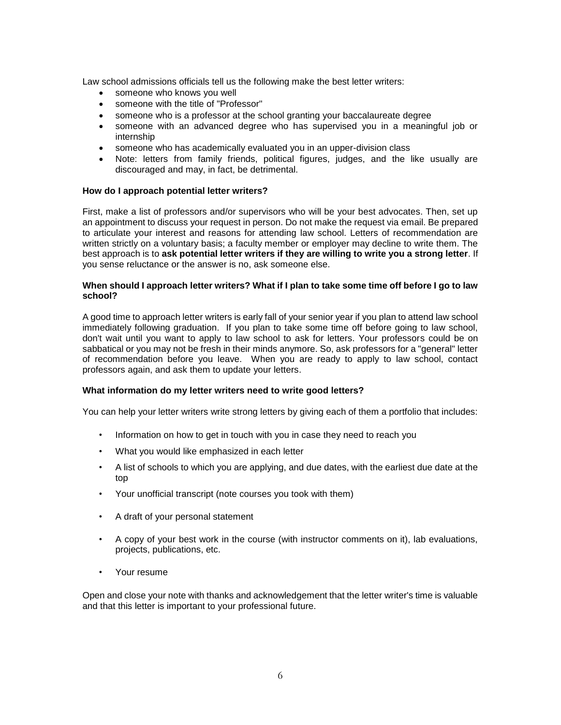Law school admissions officials tell us the following make the best letter writers:

- someone who knows you well
- someone with the title of "Professor"
- someone who is a professor at the school granting your baccalaureate degree
- someone with an advanced degree who has supervised you in a meaningful job or internship
- someone who has academically evaluated you in an upper-division class
- Note: letters from family friends, political figures, judges, and the like usually are discouraged and may, in fact, be detrimental.

#### **How do I approach potential letter writers?**

First, make a list of professors and/or supervisors who will be your best advocates. Then, set up an appointment to discuss your request in person. Do not make the request via email. Be prepared to articulate your interest and reasons for attending law school. Letters of recommendation are written strictly on a voluntary basis; a faculty member or employer may decline to write them. The best approach is to **ask potential letter writers if they are willing to write you a strong letter**. If you sense reluctance or the answer is no, ask someone else.

#### **When should I approach letter writers? What if I plan to take some time off before I go to law school?**

A good time to approach letter writers is early fall of your senior year if you plan to attend law school immediately following graduation. If you plan to take some time off before going to law school, don't wait until you want to apply to law school to ask for letters. Your professors could be on sabbatical or you may not be fresh in their minds anymore. So, ask professors for a "general" letter of recommendation before you leave. When you are ready to apply to law school, contact professors again, and ask them to update your letters.

#### **What information do my letter writers need to write good letters?**

You can help your letter writers write strong letters by giving each of them a portfolio that includes:

- Information on how to get in touch with you in case they need to reach you
- What you would like emphasized in each letter
- A list of schools to which you are applying, and due dates, with the earliest due date at the top
- Your unofficial transcript (note courses you took with them)
- A draft of your personal statement
- A copy of your best work in the course (with instructor comments on it), lab evaluations, projects, publications, etc.
- Your resume

Open and close your note with thanks and acknowledgement that the letter writer's time is valuable and that this letter is important to your professional future.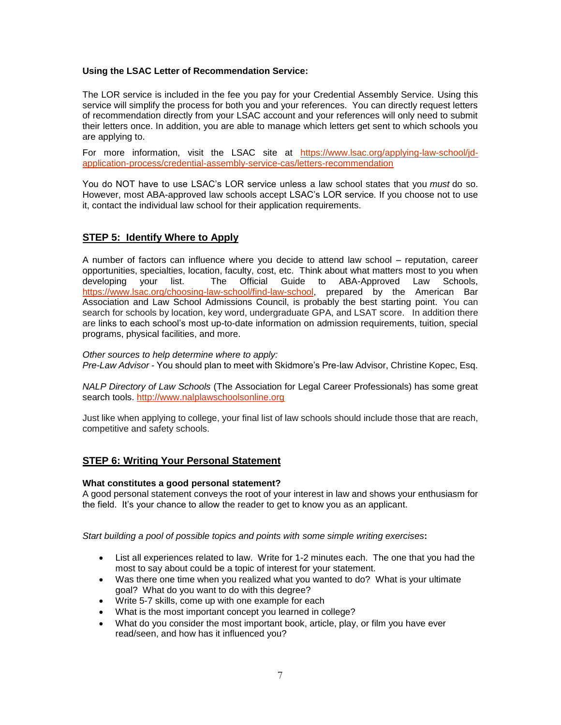#### **Using the LSAC Letter of Recommendation Service:**

The LOR service is included in the fee you pay for your Credential Assembly Service. Using this service will simplify the process for both you and your references. You can directly request letters of recommendation directly from your LSAC account and your references will only need to submit their letters once. In addition, you are able to manage which letters get sent to which schools you are applying to.

For more information, visit the LSAC site at [https://www.lsac.org/applying-law-school/jd](https://www.lsac.org/applying-law-school/jd-application-process/credential-assembly-service-cas/letters-recommendation)[application-process/credential-assembly-service-cas/letters-recommendation](https://www.lsac.org/applying-law-school/jd-application-process/credential-assembly-service-cas/letters-recommendation)

You do NOT have to use LSAC's LOR service unless a law school states that you *must* do so. However, most ABA-approved law schools accept LSAC's LOR service. If you choose not to use it, contact the individual law school for their application requirements.

# **STEP 5: Identify Where to Apply**

A number of factors can influence where you decide to attend law school – reputation, career opportunities, specialties, location, faculty, cost, etc. Think about what matters most to you when developing your list. The Official Guide to ABA-Approved Law Schools, [https://www.lsac.org/choosing-law-school/find-law-school,](https://www.lsac.org/choosing-law-school/find-law-school) prepared by the American Bar Association and Law School Admissions Council, is probably the best starting point. You can search for schools by location, key word, undergraduate GPA, and LSAT score. In addition there are links to each school's most up-to-date information on admission requirements, tuition, special programs, physical facilities, and more.

#### *Other sources to help determine where to apply:*

*Pre-Law Advisor -* You should plan to meet with Skidmore's Pre-law Advisor, Christine Kopec, Esq.

*NALP Directory of Law Schools* (The Association for Legal Career Professionals) has some great search tools. [http://www.nalplawschoolsonline.org](http://www.nalplawschoolsonline.org/)

Just like when applying to college, your final list of law schools should include those that are reach, competitive and safety schools.

# **STEP 6: Writing Your Personal Statement**

#### **What constitutes a good personal statement?**

A good personal statement conveys the root of your interest in law and shows your enthusiasm for the field. It's your chance to allow the reader to get to know you as an applicant.

*Start building a pool of possible topics and points with some simple writing exercises***:**

- List all experiences related to law. Write for 1-2 minutes each. The one that you had the most to say about could be a topic of interest for your statement.
- Was there one time when you realized what you wanted to do? What is your ultimate goal? What do you want to do with this degree?
- Write 5-7 skills, come up with one example for each
- What is the most important concept you learned in college?
- What do you consider the most important book, article, play, or film you have ever read/seen, and how has it influenced you?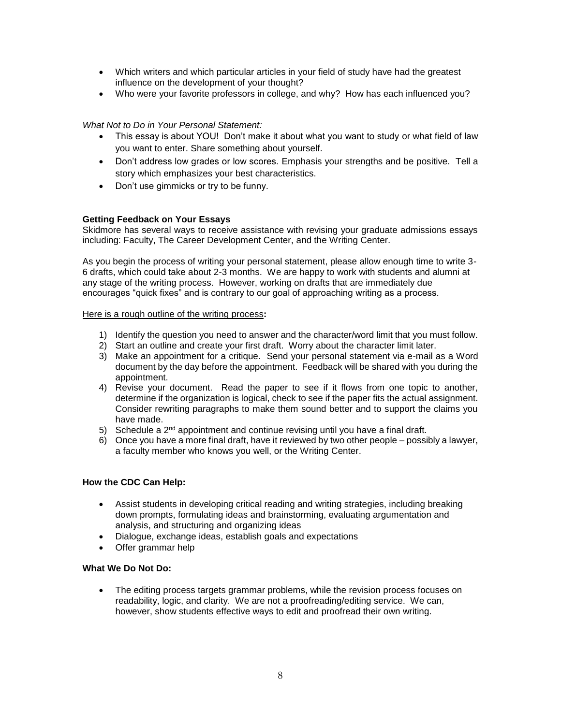- Which writers and which particular articles in your field of study have had the greatest influence on the development of your thought?
- Who were your favorite professors in college, and why? How has each influenced you?

# *What Not to Do in Your Personal Statement:*

- This essay is about YOU! Don't make it about what you want to study or what field of law you want to enter. Share something about yourself.
- Don't address low grades or low scores. Emphasis your strengths and be positive. Tell a story which emphasizes your best characteristics.
- Don't use gimmicks or try to be funny.

# **Getting Feedback on Your Essays**

Skidmore has several ways to receive assistance with revising your graduate admissions essays including: Faculty, The Career Development Center, and the Writing Center.

As you begin the process of writing your personal statement, please allow enough time to write 3- 6 drafts, which could take about 2-3 months. We are happy to work with students and alumni at any stage of the writing process. However, working on drafts that are immediately due encourages "quick fixes" and is contrary to our goal of approaching writing as a process.

#### Here is a rough outline of the writing process**:**

- 1) Identify the question you need to answer and the character/word limit that you must follow.
- 2) Start an outline and create your first draft. Worry about the character limit later.
- 3) Make an appointment for a critique. Send your personal statement via e-mail as a Word document by the day before the appointment. Feedback will be shared with you during the appointment.
- 4) Revise your document. Read the paper to see if it flows from one topic to another, determine if the organization is logical, check to see if the paper fits the actual assignment. Consider rewriting paragraphs to make them sound better and to support the claims you have made.
- 5) Schedule a  $2<sup>nd</sup>$  appointment and continue revising until you have a final draft.
- 6) Once you have a more final draft, have it reviewed by two other people possibly a lawyer, a faculty member who knows you well, or the Writing Center.

# **How the CDC Can Help:**

- Assist students in developing critical reading and writing strategies, including breaking down prompts, formulating ideas and brainstorming, evaluating argumentation and analysis, and structuring and organizing ideas
- Dialogue, exchange ideas, establish goals and expectations
- Offer grammar help

# **What We Do Not Do:**

 The editing process targets grammar problems, while the revision process focuses on readability, logic, and clarity. We are not a proofreading/editing service. We can, however, show students effective ways to edit and proofread their own writing.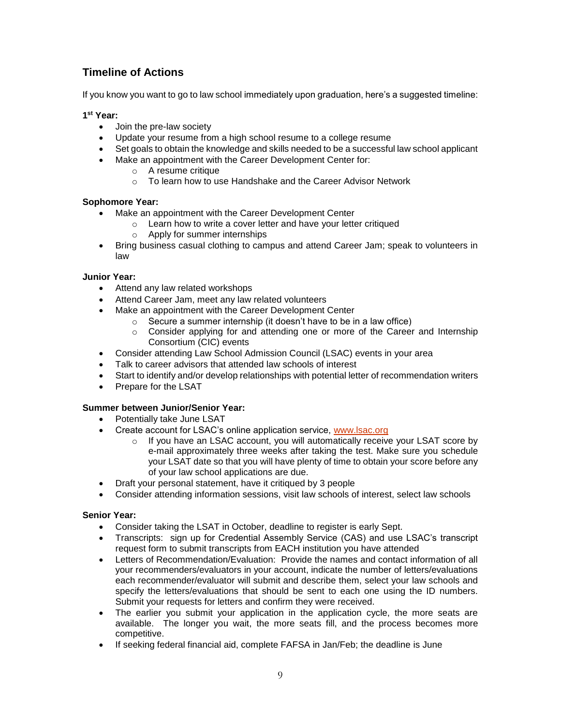# **Timeline of Actions**

If you know you want to go to law school immediately upon graduation, here's a suggested timeline:

# **1 st Year:**

- Join the pre-law society
- Update your resume from a high school resume to a college resume
- Set goals to obtain the knowledge and skills needed to be a successful law school applicant
- Make an appointment with the Career Development Center for:
	- o A resume critique
	- o To learn how to use Handshake and the Career Advisor Network

#### **Sophomore Year:**

- Make an appointment with the Career Development Center
	- o Learn how to write a cover letter and have your letter critiqued
	- o Apply for summer internships
- Bring business casual clothing to campus and attend Career Jam; speak to volunteers in law

#### **Junior Year:**

- Attend any law related workshops
- Attend Career Jam, meet any law related volunteers
- Make an appointment with the Career Development Center
	- $\circ$  Secure a summer internship (it doesn't have to be in a law office)
	- o Consider applying for and attending one or more of the Career and Internship Consortium (CIC) events
- Consider attending Law School Admission Council (LSAC) events in your area
- Talk to career advisors that attended law schools of interest
- Start to identify and/or develop relationships with potential letter of recommendation writers
- Prepare for the LSAT

#### **Summer between Junior/Senior Year:**

- Potentially take June LSAT
- Create account for LSAC's online application service, www. Sac.org
	- $\circ$  If you have an LSAC account, you will automatically receive your LSAT score by e-mail approximately three weeks after taking the test. Make sure you schedule your LSAT date so that you will have plenty of time to obtain your score before any of your law school applications are due.
- Draft your personal statement, have it critiqued by 3 people
- Consider attending information sessions, visit law schools of interest, select law schools

#### **Senior Year:**

- Consider taking the LSAT in October, deadline to register is early Sept.
- Transcripts: sign up for Credential Assembly Service (CAS) and use LSAC's transcript request form to submit transcripts from EACH institution you have attended
- Letters of Recommendation/Evaluation: Provide the names and contact information of all your recommenders/evaluators in your account, indicate the number of letters/evaluations each recommender/evaluator will submit and describe them, select your law schools and specify the letters/evaluations that should be sent to each one using the ID numbers. Submit your requests for letters and confirm they were received.
- The earlier you submit your application in the application cycle, the more seats are available. The longer you wait, the more seats fill, and the process becomes more competitive.
- If seeking federal financial aid, complete FAFSA in Jan/Feb; the deadline is June